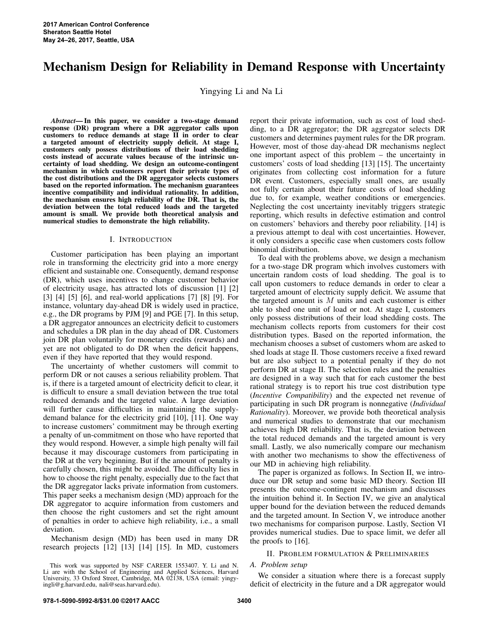# Mechanism Design for Reliability in Demand Response with Uncertainty

Yingying Li and Na Li

*Abstract*— In this paper, we consider a two-stage demand response (DR) program where a DR aggregator calls upon customers to reduce demands at stage II in order to clear a targeted amount of electricity supply deficit. At stage I, customers only possess distributions of their load shedding costs instead of accurate values because of the intrinsic uncertainty of load shedding. We design an outcome-contingent mechanism in which customers report their private types of the cost distributions and the DR aggregator selects customers based on the reported information. The mechanism guarantees incentive compatibility and individual rationality. In addition, the mechanism ensures high reliability of the DR. That is, the deviation between the total reduced loads and the targeted amount is small. We provide both theoretical analysis and numerical studies to demonstrate the high reliability.

# I. INTRODUCTION

Customer participation has been playing an important role in transforming the electricity grid into a more energy efficient and sustainable one. Consequently, demand response (DR), which uses incentives to change customer behavior of electricity usage, has attracted lots of discussion [1] [2] [3] [4] [5] [6], and real-world applications [7] [8] [9]. For instance, voluntary day-ahead DR is widely used in practice, e.g., the DR programs by PJM [9] and PGE [7]. In this setup, a DR aggregator announces an electricity deficit to customers and schedules a DR plan in the day ahead of DR. Customers join DR plan voluntarily for monetary credits (rewards) and yet are not obligated to do DR when the deficit happens, even if they have reported that they would respond.

The uncertainty of whether customers will commit to perform DR or not causes a serious reliability problem. That is, if there is a targeted amount of electricity deficit to clear, it is difficult to ensure a small deviation between the true total reduced demands and the targeted value. A large deviation will further cause difficulties in maintaining the supplydemand balance for the electricity grid [10], [11]. One way to increase customers' commitment may be through exerting a penalty of un-commitment on those who have reported that they would respond. However, a simple high penalty will fail because it may discourage customers from participating in the DR at the very beginning. But if the amount of penalty is carefully chosen, this might be avoided. The difficulty lies in how to choose the right penalty, especially due to the fact that the DR aggregator lacks private information from customers. This paper seeks a mechanism design (MD) approach for the DR aggregator to acquire information from customers and then choose the right customers and set the right amount of penalties in order to achieve high reliability, i.e., a small deviation.

Mechanism design (MD) has been used in many DR research projects [12] [13] [14] [15]. In MD, customers report their private information, such as cost of load shedding, to a DR aggregator; the DR aggregator selects DR customers and determines payment rules for the DR program. However, most of those day-ahead DR mechanisms neglect one important aspect of this problem – the uncertainty in customers' costs of load shedding [13] [15]. The uncertainty originates from collecting cost information for a future DR event. Customers, especially small ones, are usually not fully certain about their future costs of load shedding due to, for example, weather conditions or emergencies. Neglecting the cost uncertainty inevitably triggers strategic reporting, which results in defective estimation and control on customers' behaviors and thereby poor reliability. [14] is a previous attempt to deal with cost uncertainties. However, it only considers a specific case when customers costs follow binomial distribution.

To deal with the problems above, we design a mechanism for a two-stage DR program which involves customers with uncertain random costs of load shedding. The goal is to call upon customers to reduce demands in order to clear a targeted amount of electricity supply deficit. We assume that the targeted amount is  $M$  units and each customer is either able to shed one unit of load or not. At stage I, customers only possess distributions of their load shedding costs. The mechanism collects reports from customers for their cost distribution types. Based on the reported information, the mechanism chooses a subset of customers whom are asked to shed loads at stage II. Those customers receive a fixed reward but are also subject to a potential penalty if they do not perform DR at stage II. The selection rules and the penalties are designed in a way such that for each customer the best rational strategy is to report his true cost distribution type (*Incentive Compatibility*) and the expected net revenue of participating in such DR program is nonnegative (*Individual Rationality*). Moreover, we provide both theoretical analysis and numerical studies to demonstrate that our mechanism achieves high DR reliability. That is, the deviation between the total reduced demands and the targeted amount is very small. Lastly, we also numerically compare our mechanism with another two mechanisms to show the effectiveness of our MD in achieving high reliability.

The paper is organized as follows. In Section II, we introduce our DR setup and some basic MD theory. Section III presents the outcome-contingent mechanism and discusses the intuition behind it. In Section IV, we give an analytical upper bound for the deviation between the reduced demands and the targeted amount. In Section V, we introduce another two mechanisms for comparison purpose. Lastly, Section VI provides numerical studies. Due to space limit, we defer all the proofs to [16].

# II. PROBLEM FORMULATION & PRELIMINARIES

## *A. Problem setup*

We consider a situation where there is a forecast supply deficit of electricity in the future and a DR aggregator would

This work was supported by NSF CAREER 1553407. Y. Li and N. Li are with the School of Engineering and Applied Sciences, Harvard University, 33 Oxford Street, Cambridge, MA 02138, USA (email: yingyingli@g.harvard.edu, nali@seas.harvard.edu).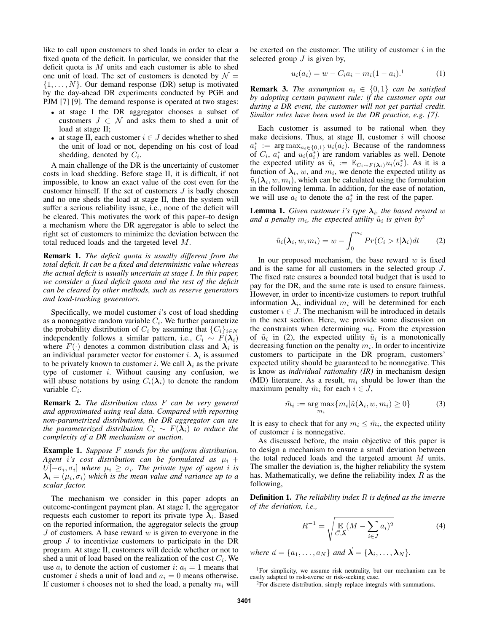like to call upon customers to shed loads in order to clear a fixed quota of the deficit. In particular, we consider that the deficit quota is  $M$  units and each customer is able to shed one unit of load. The set of customers is denoted by  $\mathcal{N} =$  $\{1, \ldots, N\}$ . Our demand response (DR) setup is motivated by the day-ahead DR experiments conducted by PGE and PJM [7] [9]. The demand response is operated at two stages:

- at stage I the DR aggregator chooses a subset of customers  $J \subset \mathcal{N}$  and asks them to shed a unit of load at stage II;
- at stage II, each customer  $i \in J$  decides whether to shed the unit of load or not, depending on his cost of load shedding, denoted by  $C_i$ .

A main challenge of the DR is the uncertainty of customer costs in load shedding. Before stage II, it is difficult, if not impossible, to know an exact value of the cost even for the customer himself. If the set of customers J is badly chosen and no one sheds the load at stage II, then the system will suffer a serious reliability issue, i.e., none of the deficit will be cleared. This motivates the work of this paper–to design a mechanism where the DR aggregator is able to select the right set of customers to minimize the deviation between the total reduced loads and the targeted level M.

Remark 1. *The deficit quota is usually different from the total deficit. It can be a fixed and deterministic value whereas the actual deficit is usually uncertain at stage I. In this paper, we consider a fixed deficit quota and the rest of the deficit can be cleared by other methods, such as reserve generators and load-tracking generators.*

Specifically, we model customer i's cost of load shedding as a nonnegative random variable  $C_i$ . We further parametrize the probability distribution of  $C_i$  by assuming that  $\{C_i\}_{i\in\mathbb{N}}$ independently follows a similar pattern, i.e.,  $C_i \sim F(\lambda_i)$ where  $F(\cdot)$  denotes a common distribution class and  $\lambda_i$  is an individual parameter vector for customer *i*.  $\lambda_i$  is assumed to be privately known to customer i. We call  $\lambda_i$  as the private type of customer  $i$ . Without causing any confusion, we will abuse notations by using  $C_i(\lambda_i)$  to denote the random variable  $C_i$ .

Remark 2. *The distribution class* F *can be very general and approximated using real data. Compared with reporting non-parametrized distributions, the DR aggregator can use the parameterized distribution*  $C_i \sim F(\lambda_i)$  *to reduce the complexity of a DR mechanism or auction.*

Example 1. *Suppose* F *stands for the uniform distribution.* Agent *i*'s cost distribution can be formulated as  $\mu_i$  +  $U[-\sigma_i, \sigma_i]$  where  $\mu_i \geq \sigma_i$ . The private type of agent *i* is  $\bm{\lambda}_i = (\mu_i, \sigma_i)$  which is the mean value and variance up to a *scalar factor.*

The mechanism we consider in this paper adopts an outcome-contingent payment plan. At stage I, the aggregator requests each customer to report its private type  $\lambda_i$ . Based on the reported information, the aggregator selects the group  $J$  of customers. A base reward  $w$  is given to everyone in the group  $J$  to incentivize customers to participate in the DR program. At stage II, customers will decide whether or not to shed a unit of load based on the realization of the cost  $C_i$ . We use  $a_i$  to denote the action of customer i:  $a_i = 1$  means that customer *i* sheds a unit of load and  $a_i = 0$  means otherwise. If customer i chooses not to shed the load, a penalty  $m_i$  will

be exerted on the customer. The utility of customer  $i$  in the selected group  $J$  is given by,

$$
u_i(a_i) = w - C_i a_i - m_i (1 - a_i). \tag{1}
$$

**Remark 3.** *The assumption*  $a_i \in \{0, 1\}$  *can be satisfied by adopting certain payment rule: if the customer opts out during a DR event, the customer will not get partial credit. Similar rules have been used in the DR practice, e.g. [7].*

Each customer is assumed to be rational when they make decisions. Thus, at stage II, customer  $i$  will choose  $a_i^* := \arg \max_{a_i \in \{0,1\}} u_i(a_i)$ . Because of the randomness of  $C_i$ ,  $a_i^*$  and  $u_i(\overline{a_i^*})$  are random variables as well. Denote the expected utility as  $\tilde{u}_i := \mathbb{E}_{C_i \sim F(\lambda_i)} u_i(a_i^*)$ . As it is a function of  $\lambda_i$ , w, and  $m_i$ , we denote the expected utility as  $\tilde{u}_i(\lambda_i, w, m_i)$ , which can be calculated using the formulation in the following lemma. In addition, for the ease of notation, we will use  $a_i$  to denote the  $a_i^*$  in the rest of the paper.

**Lemma 1.** Given customer i's type  $\lambda_i$ , the based reward w and a penalty  $m_i$ , the expected utility  $\tilde{u}_i$  is given by<sup>2</sup>

$$
\tilde{u}_i(\lambda_i, w, m_i) = w - \int_0^{m_i} Pr(C_i > t | \lambda_i) dt \qquad (2)
$$

In our proposed mechanism, the base reward  $w$  is fixed and is the same for all customers in the selected group J. The fixed rate ensures a bounded total budget that is used to pay for the DR, and the same rate is used to ensure fairness. However, in order to incentivize customers to report truthful information  $\lambda_i$ , individual  $m_i$  will be determined for each customer  $i \in J$ . The mechanism will be introduced in details in the next section. Here, we provide some discussion on the constraints when determining  $m_i$ . From the expression of  $\tilde{u}_i$  in (2), the expected utility  $\tilde{u}_i$  is a monotonically decreasing function on the penalty  $m_i$ . In order to incentivize customers to participate in the DR program, customers' expected utility should be guaranteed to be nonnegative. This is know as *individual rationality (IR)* in mechanism design (MD) literature. As a result,  $m_i$  should be lower than the maximum penalty  $\tilde{m}_i$  for each  $i \in J$ ,

$$
\tilde{m}_i := \underset{m_i}{\arg \max} \{ m_i | \tilde{u}(\lambda_i, w, m_i) \ge 0 \} \tag{3}
$$

It is easy to check that for any  $m_i \leq \tilde{m}_i$ , the expected utility of customer  $i$  is nonnegative.

As discussed before, the main objective of this paper is to design a mechanism to ensure a small deviation between the total reduced loads and the targeted amount M units. The smaller the deviation is, the higher reliability the system has. Mathematically, we define the reliability index  $R$  as the following,

Definition 1. *The reliability index* R *is defined as the inverse of the deviation, i.e.,*

$$
R^{-1} = \sqrt{\mathbb{E}_{\vec{C}, \vec{\lambda}} (M - \sum_{i \in J} a_i)^2}
$$
 (4)

*where*  $\vec{a} = \{a_1, \ldots, a_N\}$  *and*  $\vec{\lambda} = \{\lambda_i, \ldots, \lambda_N\}$ *.* 

<sup>1</sup>For simplicity, we assume risk neutrality, but our mechanism can be easily adapted to risk-averse or risk-seeking case.

<sup>2</sup>For discrete distribution, simply replace integrals with summations.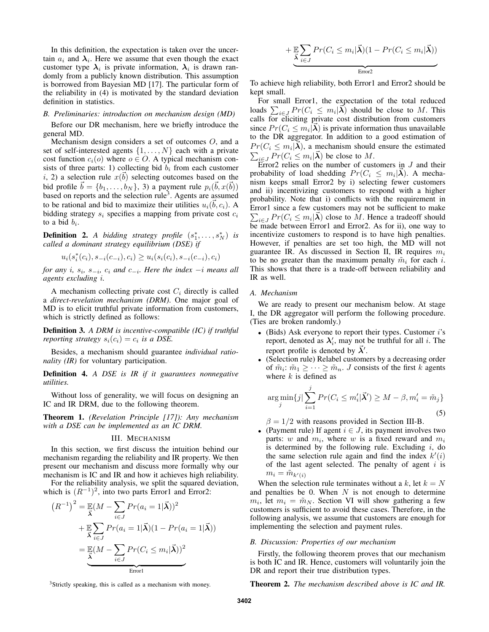In this definition, the expectation is taken over the uncertain  $a_i$  and  $\lambda_i$ . Here we assume that even though the exact customer type  $\lambda_i$  is private information,  $\lambda_i$  is drawn randomly from a publicly known distribution. This assumption is borrowed from Bayesian MD [17]. The particular form of the reliability in (4) is motivated by the standard deviation definition in statistics.

# *B. Preliminaries: introduction on mechanism design (MD)*

Before our DR mechanism, here we briefly introduce the general MD.

Mechanism design considers a set of outcomes O, and a set of self-interested agents  $\{1, \ldots, N\}$  each with a private cost function  $c_i(o)$  where  $o \in O$ . A typical mechanism consists of three parts: 1) collecting bid  $b_i$  from each customer i, 2) a selection rule  $x(\vec{b})$  selecting outcomes based on the bid profile  $\vec{b} = \{b_1, \ldots, b_N\}$ , 3) a payment rule  $p_i(\vec{b}, x(\vec{b}))$ based on reports and the selection rule<sup>3</sup>. Agents are assumed to be rational and bid to maximize their utilities  $u_i(\vec{b}, c_i)$ . A bidding strategy  $s_i$  specifies a mapping from private cost  $c_i$ to a bid  $b_i$ .

**Definition 2.** A bidding strategy profile  $(s_1^*, \ldots, s_N^*)$  is *called a dominant strategy equilibrium (DSE) if*

$$
u_i(s_i^*(c_i), s_{-i}(c_{-i}), c_i) \ge u_i(s_i(c_i), s_{-i}(c_{-i}), c_i)
$$

*for any i*,  $s_i$ ,  $s_{-i}$ ,  $c_i$  *and*  $c_{-i}$ *. Here the index* −*i means all agents excluding* i*.*

A mechanism collecting private cost  $C_i$  directly is called a *direct-revelation mechanism (DRM)*. One major goal of MD is to elicit truthful private information from customers, which is strictly defined as follows:

Definition 3. *A DRM is incentive-compatible (IC) if truthful reporting strategy*  $s_i(c_i) = c_i$  *is a DSE.* 

Besides, a mechanism should guarantee *individual rationality (IR)* for voluntary participation.

Definition 4. *A DSE is IR if it guarantees nonnegative utilities.*

Without loss of generality, we will focus on designing an IC and IR DRM, due to the following theorem.

Theorem 1. *(Revelation Principle [17]): Any mechanism with a DSE can be implemented as an IC DRM.*

# III. MECHANISM

In this section, we first discuss the intuition behind our mechanism regarding the reliability and IR property. We then present our mechanism and discuss more formally why our mechanism is IC and IR and how it achieves high reliability.

For the reliability analysis, we split the squared deviation, which is  $(R^{-1})^2$ , into two parts Error1 and Error2:

$$
(R^{-1})^2 = \mathbb{E}(M - \sum_{i \in J} Pr(a_i = 1 | \vec{\lambda}))^2
$$
  
+ 
$$
\mathbb{E} \sum_{i \in J} Pr(a_i = 1 | \vec{\lambda})(1 - Pr(a_i = 1 | \vec{\lambda}))
$$
  
= 
$$
\mathbb{E}(M - \sum_{i \in J} Pr(C_i \le m_i | \vec{\lambda}))^2
$$
  
Error

 $+ E \over \lambda$  $\sum$ i∈J  $Pr(C_i \leq m_i | \vec{\boldsymbol{\lambda}})(1 - Pr(C_i \leq m_i | \vec{\boldsymbol{\lambda}}))$  $\frac{1}{2}$   $\frac{1}{2}$   $\frac{1}{2}$   $\frac{1}{2}$   $\frac{1}{2}$   $\frac{1}{2}$   $\frac{1}{2}$   $\frac{1}{2}$   $\frac{1}{2}$   $\frac{1}{2}$   $\frac{1}{2}$   $\frac{1}{2}$   $\frac{1}{2}$   $\frac{1}{2}$   $\frac{1}{2}$   $\frac{1}{2}$   $\frac{1}{2}$   $\frac{1}{2}$   $\frac{1}{2}$   $\frac{1}{2}$   $\frac{1}{2}$   $\frac{1}{2}$  Error2

To achieve high reliability, both Error1 and Error2 should be kept small.

For small Error1, the expectation of the total reduced loads  $\sum_{i \in J} Pr(C_i \leq m_i | \vec{\lambda})$  should be close to M. This calls for eliciting private cost distribution from customers since  $Pr(C_i \leq m_i | \vec{\lambda})$  is private information thus unavailable to the DR aggregator. In addition to a good estimation of  $Pr(C_i \leq m_i | \vec{\lambda})$ , a mechanism should ensure the estimated  $\sum_{i \in J} Pr(C_i \le m_i | \vec{\lambda})$  be close to M.

Error2 relies on the number of customers in  $J$  and their probability of load shedding  $Pr(C_i \leq m_i | \vec{\lambda})$ . A mechanism keeps small Error2 by i) selecting fewer customers and ii) incentivizing customers to respond with a higher probability. Note that i) conflicts with the requirement in Error1 since a few customers may not be sufficient to make  $\sum_{i \in J} Pr(C_i \leq m_i | \vec{\lambda})$  close to M. Hence a tradeoff should be made between Error1 and Error2. As for ii), one way to incentivize customers to respond is to have high penalties. However, if penalties are set too high, the MD will not guarantee IR. As discussed in Section II, IR requires  $m_i$ to be no greater than the maximum penalty  $\tilde{m}_i$  for each i. This shows that there is a trade-off between reliability and IR as well.

# *A. Mechanism*

We are ready to present our mechanism below. At stage I, the DR aggregator will perform the following procedure. (Ties are broken randomly.)

- (Bids) Ask everyone to report their types. Customer  $i$ 's report, denoted as  $\lambda'_i$ , may not be truthful for all i. The report profile is denoted by  $\vec{\lambda}'$ .
- (Selection rule) Relabel customers by a decreasing order of  $\tilde{m}_i$ :  $\tilde{m}_1 \geq \cdots \geq \tilde{m}_n$ . *J* consists of the first *k* agents where  $k$  is defined as

$$
\underset{j}{\arg\min} \{ j | \sum_{i=1}^{j} Pr(C_i \le m_i' | \vec{\lambda}') \ge M - \beta, m_i' = \tilde{m}_j \}
$$
\n
$$
\tag{5}
$$

 $\beta = 1/2$  with reasons provided in Section III-B.

• (Payment rule) If agent  $i \in J$ , its payment involves two parts: w and  $m_i$ , where w is a fixed reward and  $m_i$ is determined by the following rule. Excluding  $i$ , do the same selection rule again and find the index  $k'(i)$ of the last agent selected. The penalty of agent  $i$  is  $m_i = \tilde{m}_{k'(i)}$ 

When the selection rule terminates without a k, let  $k = N$ and penalties be 0. When  $N$  is not enough to determine  $m_i$ , let  $m_i = \tilde{m}_N$ . Section VI will show gathering a few customers is sufficient to avoid these cases. Therefore, in the following analysis, we assume that customers are enough for implementing the selection and payment rules.

#### *B. Discussion: Properties of our mechanism*

Firstly, the following theorem proves that our mechanism is both IC and IR. Hence, customers will voluntarily join the DR and report their true distribution types.

Theorem 2. *The mechanism described above is IC and IR.*

<sup>3</sup>Strictly speaking, this is called as a mechanism with money.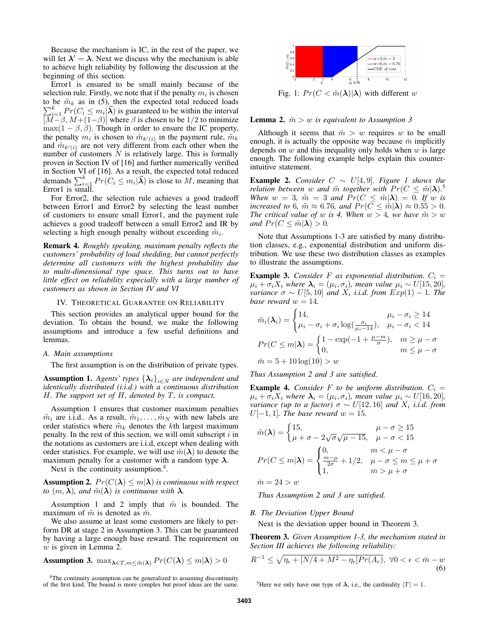Because the mechanism is IC, in the rest of the paper, we will let  $\lambda' = \lambda$ . Next we discuss why the mechanism is able to achieve high reliability by following the discussion at the beginning of this section.

Error1 is ensured to be small mainly because of the selection rule. Firstly, we note that if the penalty  $m_i$  is chosen to be  $\tilde{m}_k$  as in (5), then the expected total reduced loads  $\sum_{i=1}^{k} Pr(C_i \leq m_i | \vec{\lambda})$  is guaranteed to be within the interval  $[M–\beta, M+(1–\beta)]$  where  $\beta$  is chosen to be 1/2 to minimize  $\max(1 - \beta, \beta)$ . Though in order to ensure the IC property, the penalty  $m_i$  is chosen to  $\tilde{m}_{k'(i)}$  in the payment rule,  $\tilde{m}_k$ and  $\tilde{m}_{k'(i)}$  are not very different from each other when the number of customers  $N$  is relatively large. This is formally proven in Section IV of [16] and further numerically verified in Section VI of [16]. As a result, the expected total reduced demands  $\sum_{i=1}^{k} Pr(C_i \leq m_i | \vec{\lambda})$  is close to M, meaning that Error1 is small.

For Error2, the selection rule achieves a good tradeoff between Error1 and Error2 by selecting the least number of customers to ensure small Error1, and the payment rule achieves a good tradeoff between a small Error2 and IR by selecting a high enough penalty without exceeding  $\tilde{m}_i$ .

Remark 4. *Roughly speaking, maximum penalty reflects the customers' probability of load shedding, but cannot perfectly determine all customers with the highest probability due to multi-dimensional type space. This turns out to have little effect on reliability especially with a large number of customers as shown in Section IV and VI*

#### IV. THEORETICAL GUARANTEE ON RELIABILITY

This section provides an analytical upper bound for the deviation. To obtain the bound, we make the following assumptions and introduce a few useful definitions and lemmas.

#### *A. Main assumptions*

The first assumption is on the distribution of private types.

**Assumption 1.** *Agents' types*  $\{\lambda_i\}_{i\in N}$  *are independent and identically distributed (i.i.d.) with a continuous distribution* H*. The support set of* H*, denoted by* T*, is compact.*

Assumption 1 ensures that customer maximum penalties  $\tilde{m}_i$  are i.i.d.. As a result,  $\tilde{m}_1, \ldots, \tilde{m}_N$  with new labels are order statistics where  $\tilde{m}_k$  denotes the kth largest maximum penalty. In the rest of this section, we will omit subscript  $i$  in the notations as customers are i.i.d, except when dealing with order statistics. For example, we will use  $\tilde{m}(\lambda)$  to denote the maximum penalty for a customer with a random type  $\lambda$ .

Next is the continuity assumption.<sup>4</sup>.

**Assumption 2.**  $Pr(C(\lambda) \leq m|\lambda)$  *is continuous with respect to*  $(m, \lambda)$ *, and*  $\tilde{m}(\lambda)$  *is continuous with*  $\lambda$ *.* 

Assumption 1 and 2 imply that  $\tilde{m}$  is bounded. The maximum of  $\tilde{m}$  is denoted as  $\bar{m}$ .

We also assume at least some customers are likely to perform DR at stage 2 in Assumption 3. This can be guaranteed by having a large enough base reward. The requirement on  $w$  is given in Lemma 2.

**Assumption 3.** 
$$
\max_{\lambda \in T, m \leq \tilde{m}(\lambda)} Pr(C(\lambda) \leq m|\lambda) > 0
$$

<sup>4</sup>The continuity assumption can be generalized to assuming discontinuity of the first kind. The bound is more complex but proof ideas are the same.



Fig. 1:  $Pr(C < \tilde{m}(\lambda) | \lambda)$  with different w

**Lemma 2.**  $\bar{m} > w$  is equivalent to Assumption 3

Although it seems that  $\bar{m} > w$  requires w to be small enough, it is actually the opposite way because  $\bar{m}$  implicitly depends on  $w$  and this inequality only holds when  $w$  is large enough. The following example helps explain this counterintuitive statement.

**Example 2.** *Consider*  $C ∼ U[4, 9]$ *. Figure 1 shows the relation between* w and  $\tilde{m}$  together with  $Pr(C \leq \tilde{m} | \lambda)$ .<sup>5</sup> *When*  $w = 3$ ,  $\tilde{m} = 3$  *and*  $Pr(C \leq \tilde{m} | \lambda) = 0$ . If w is *increased to* 6*,*  $\tilde{m} \approx 6.76$ *, and*  $Pr(C \leq \tilde{m} | \lambda) \approx 0.55 > 0$ *. The critical value of w is 4. When*  $w > 4$ *, we have*  $\tilde{m} > w$ *and*  $Pr(C \leq \tilde{m}|\lambda) > 0$ .

Note that Assumptions 1-3 are satisfied by many distribution classes, e.g., exponential distribution and uniform distribution. We use these two distribution classes as examples to illustrate the assumptions.

**Example 3.** Consider F as exponential distribution.  $C_i =$  $\mu_i + \sigma_i X_i$  where  $\boldsymbol{\lambda}_i = (\mu_i, \sigma_i)$ , mean value  $\mu_i \sim U[15, 20]$ , *variance*  $\sigma \sim U[5, 10]$  *and*  $X_i$  *i.i.d. from*  $Exp(1) - 1$ *. The base reward*  $w = 14$ *.* 

$$
\tilde{m}_i(\lambda_i) = \begin{cases}\n14, & \mu_i - \sigma_i \ge 14 \\
\mu_i - \sigma_i + \sigma_i \log\left(\frac{\sigma_i}{\mu_i - 14}\right), & \mu_i - \sigma_i < 14\n\end{cases}
$$
\n
$$
Pr(C \le m|\lambda) = \begin{cases}\n1 - \exp(-1 + \frac{\mu - m}{\sigma}), & m \ge \mu - \sigma \\
0, & m \le \mu - \sigma\n\end{cases}
$$
\n
$$
\bar{m} = 5 + 10 \log(10) > w
$$

*Thus Assumption 2 and 3 are satisfied.*

**Example 4.** *Consider* F *to be uniform distribution.*  $C_i$  =  $\mu_i + \sigma_i X_i$  where  $\boldsymbol{\lambda}_i = (\mu_i, \sigma_i)$ , mean value  $\mu_i \sim U[16, 20]$ , *variance (up to a factor)*  $\sigma \sim U[12, 16]$  *and*  $X_i$  *i.i.d. from* U[−1, 1]*. The base reward*  $w = 15$ *.* 

$$
\tilde{m}(\lambda) = \begin{cases}\n15, & \mu - \sigma \ge 15 \\
\mu + \sigma - 2\sqrt{\sigma}\sqrt{\mu - 15}, & \mu - \sigma < 15\n\end{cases}
$$
\n
$$
Pr(C \le m|\lambda) = \begin{cases}\n0, & m < \mu - \sigma \\
\frac{m - \mu}{2\sigma} + 1/2, & \mu - \sigma \le m \le \mu + \sigma \\
1, & m > \mu + \sigma\n\end{cases}
$$
\n
$$
\bar{m} = 24 > w
$$

*Thus Assumption 2 and 3 are satisfied.*

#### *B. The Deviation Upper Bound*

Next is the deviation upper bound in Theorem 3.

Theorem 3. *Given Assumption 1-3, the mechanism stated in Section III achieves the following reliability:*

$$
R^{-1} \le \sqrt{\eta_{\epsilon} + [N/4 + M^2 - \eta_{\epsilon}]} Pr(A_{\epsilon}), \ \forall 0 < \epsilon < \bar{m} - w
$$
\n(6)

<sup>5</sup>Here we only have one type of  $\lambda$ , i.e., the cardinality  $|T| = 1$ .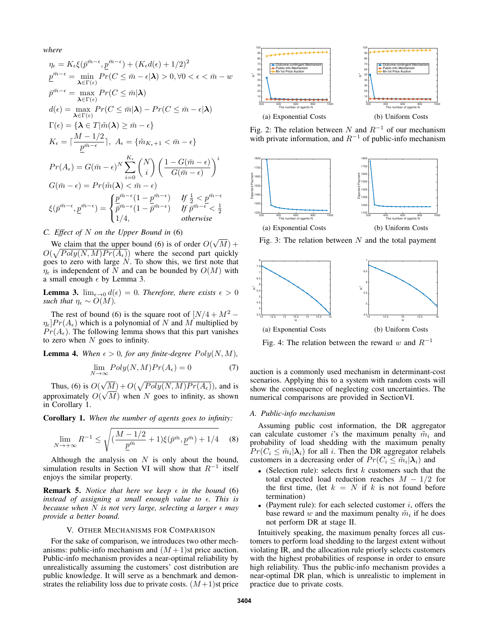*where*

$$
\eta_{\epsilon} = K_{\epsilon}\xi(\bar{p}^{\bar{m}-\epsilon}, \underline{p}^{\bar{m}-\epsilon}) + (K_{\epsilon}d(\epsilon) + 1/2)^{2}
$$
\n
$$
\underline{p}^{\bar{m}-\epsilon} = \min_{\lambda \in \Gamma(\epsilon)} Pr(C \le \bar{m} - \epsilon | \lambda) > 0, \forall 0 < \epsilon < \bar{m} - w
$$
\n
$$
\bar{p}^{\bar{m}-\epsilon} = \max_{\lambda \in \Gamma(\epsilon)} Pr(C \le \bar{m} | \lambda)
$$
\n
$$
d(\epsilon) = \max_{\lambda \in \Gamma(\epsilon)} Pr(C \le \bar{m} | \lambda) - Pr(C \le \bar{m} - \epsilon | \lambda)
$$
\n
$$
\Gamma(\epsilon) = \{\lambda \in \Gamma | \tilde{m}(\lambda) \ge \bar{m} - \epsilon\}
$$
\n
$$
K_{\epsilon} = \lceil \frac{M - 1/2}{\underline{p}^{\bar{m}-\epsilon}} \rceil, \ A_{\epsilon} = \{\tilde{m}_{K_{\epsilon}+1} < \bar{m} - \epsilon\}
$$
\n
$$
Pr(A_{\epsilon}) = G(\bar{m} - \epsilon)^{N} \sum_{i=0}^{K_{\epsilon}} {N \choose i} \left(\frac{1 - G(\bar{m} - \epsilon)}{G(\bar{m} - \epsilon)}\right)^{i}
$$
\n
$$
G(\bar{m} - \epsilon) = Pr(\tilde{m}(\lambda) < \bar{m} - \epsilon)
$$
\n
$$
\xi(\bar{p}^{\bar{m}-\epsilon}, \underline{p}^{\bar{m}-\epsilon}) = \begin{cases} \underline{p}^{\bar{m}-\epsilon}(1 - \underline{p}^{\bar{m}-\epsilon}) & \text{if } \frac{1}{2} < \underline{p}^{\bar{m}-\epsilon} \\ \bar{p}^{\bar{m}-\epsilon}(1 - \bar{p}^{\bar{m}-\epsilon}) & \text{if } \bar{p}^{\bar{m}-\epsilon} < \frac{1}{2} \\ 1/4, & \text{otherwise} \end{cases}
$$

# *C. Effect of* N *on the Upper Bound in* (6)

We claim that the upper bound  $(6)$  is of order  $O($ √  $M) +$  $O(\sqrt{Poly(N, M)Pr(A_{\epsilon})})$  where the second part quickly goes to zero with large  $N$ . To show this, we first note that  $\eta_{\epsilon}$  is independent of N and can be bounded by  $O(M)$  with a small enough  $\epsilon$  by Lemma 3.

**Lemma 3.**  $\lim_{\epsilon \to 0} d(\epsilon) = 0$ . Therefore, there exists  $\epsilon > 0$ *such that*  $\eta_{\epsilon} \sim O(M)$ .

The rest of bound (6) is the square root of  $[N/4 + M^2 \eta_{\epsilon}$   $Pr(A_{\epsilon})$  which is a polynomial of N and M multiplied by  $Pr(A_{\epsilon})$ . The following lemma shows that this part vanishes to zero when  $N$  goes to infinity.

**Lemma 4.** When  $\epsilon > 0$ , for any finite-degree  $Poly(N, M)$ ,

$$
\lim_{N \to \infty} Poly(N, M)Pr(A_{\epsilon}) = 0 \tag{7}
$$

Thus, (6) is  $O($  $\sqrt{M}$ ) +  $O(\sqrt{Poly(N, M)Pr(A_{\epsilon})})$ , and is approximately  $O(\sqrt{M})$  when N goes to infinity, as shown in Corollary 1.

Corollary 1. *When the number of agents goes to infinity:*

$$
\lim_{N \to +\infty} R^{-1} \le \sqrt{\left(\frac{M - 1/2}{\underline{p}^{\bar{m}}} + 1\right) \xi(\bar{p}^{\bar{m}}, \underline{p}^{\bar{m}}) + 1/4} \tag{8}
$$

Although the analysis on  $N$  is only about the bound, simulation results in Section VI will show that  $R^{-1}$  itself enjoys the similar property.

**Remark 5.** *Notice that here we keep*  $\epsilon$  *in the bound* (6) *instead of assigning a small enough value to*  $\epsilon$ *. This is because when* N *is not very large, selecting a larger*  $\epsilon$  *may provide a better bound.*

# V. OTHER MECHANISMS FOR COMPARISON

For the sake of comparison, we introduces two other mechanisms: public-info mechanism and  $(M+1)$ st price auction. Public-info mechanism provides a near-optimal reliability by unrealistically assuming the customers' cost distribution are public knowledge. It will serve as a benchmark and demonstrates the reliability loss due to private costs.  $(M+1)$ st price



Fig. 2: The relation between N and  $R^{-1}$  of our mechanism with private information, and  $R^{-1}$  of public-info mechanism



Fig. 3: The relation between  $N$  and the total payment



Fig. 4: The relation between the reward w and  $R^{-1}$ 

auction is a commonly used mechanism in determinant-cost scenarios. Applying this to a system with random costs will show the consequence of neglecting cost uncertainties. The numerical comparisons are provided in SectionVI.

# *A. Public-info mechanism*

Assuming public cost information, the DR aggregator can calculate customer is the maximum penalty  $\tilde{m}_i$  and probability of load shedding with the maximum penalty  $Pr(C_i \leq \tilde{m}_i | \lambda_i)$  for all *i*. Then the DR aggregator relabels customers in a decreasing order of  $Pr(C_i \leq \tilde{m}_i | \lambda_i)$  and

- (Selection rule): selects first  $k$  customers such that the total expected load reduction reaches  $M - 1/2$  for the first time, (let  $k = N$  if k is not found before termination)
- (Payment rule): for each selected customer  $i$ , offers the base reward w and the maximum penalty  $\tilde{m}_i$  if he does not perform DR at stage II.

Intuitively speaking, the maximum penalty forces all customers to perform load shedding to the largest extent without violating IR, and the allocation rule priorly selects customers with the highest probabilities of response in order to ensure high reliability. Thus the public-info mechanism provides a near-optimal DR plan, which is unrealistic to implement in practice due to private costs.